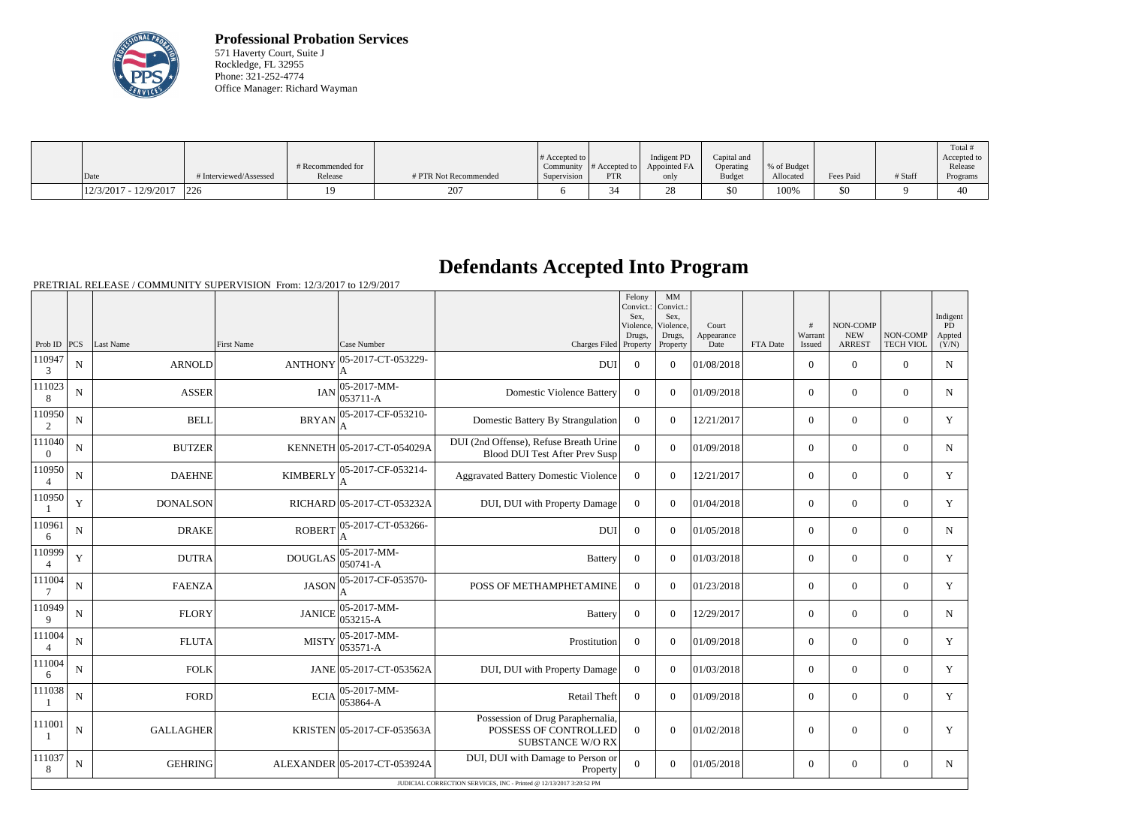

**Professional Probation Services** 571 Haverty Court, Suite J Rockledge, FL 32955 Phone: 321-252-4774 Office Manager: Richard Wayman

|                         |                        | # Recommended for |                       | $\#$ Accepted to $\ $ |            | Indigent PD<br>Community $ #$ Accepted to $ $ Appointed FA | Capital and<br>Operating | % of Budget |           |         | Total<br>Accepted to<br>Release |
|-------------------------|------------------------|-------------------|-----------------------|-----------------------|------------|------------------------------------------------------------|--------------------------|-------------|-----------|---------|---------------------------------|
| Date                    | # Interviewed/Assessed | Release           | # PTR Not Recommended | Supervision           | <b>PTR</b> | only                                                       | <b>Budget</b>            | Allocated   | Fees Paid | # Staff | Programs                        |
| $12/3/2017 - 12/9/2017$ | 226                    |                   | 207                   |                       | .34        | ഹ                                                          | \$0                      | 100%        | \$0       |         | 40                              |

## **Defendants Accepted Into Program**

PRETRIAL RELEASE / COMMUNITY SUPERVISION From: 12/3/2017 to 12/9/2017

|                          |                    |                  |                   |                                                                      |                                                                                       | Felony<br>Convict.:<br>Sex.<br>Violence, | MM<br>Convict.:<br>Sex,<br>Violence, | Court              |          | #                 | NON-COMP                    |                              | Indigent<br><b>PD</b> |
|--------------------------|--------------------|------------------|-------------------|----------------------------------------------------------------------|---------------------------------------------------------------------------------------|------------------------------------------|--------------------------------------|--------------------|----------|-------------------|-----------------------------|------------------------------|-----------------------|
| Prob ID $ PCS $          |                    | Last Name        | <b>First Name</b> | Case Number                                                          | Charges Filed Property                                                                | Drugs,                                   | Drugs,<br>Property                   | Appearance<br>Date | FTA Date | Warrant<br>Issued | <b>NEW</b><br><b>ARREST</b> | NON-COMP<br><b>TECH VIOL</b> | Appted<br>(Y/N)       |
| 110947<br>3              | $\mathbf N$        | <b>ARNOLD</b>    | <b>ANTHONY</b>    | 05-2017-CT-053229-<br>A                                              | <b>DUI</b>                                                                            | $\overline{0}$                           | $\theta$                             | 01/08/2018         |          | $\overline{0}$    | $\mathbf{0}$                | $\mathbf{0}$                 | $\mathbf N$           |
| 111023<br>8              | $\mathbf N$        | <b>ASSER</b>     | <b>IAN</b>        | 05-2017-MM-<br>053711-A                                              | <b>Domestic Violence Battery</b>                                                      | $\Omega$                                 | $\theta$                             | 01/09/2018         |          | $\overline{0}$    | $\mathbf{0}$                | $\overline{0}$               | $\mathbf N$           |
| 110950<br>$\overline{2}$ | ${\bf N}$          | <b>BELL</b>      | <b>BRYAN</b>      | 05-2017-CF-053210-<br>A                                              | Domestic Battery By Strangulation                                                     | $\mathbf{0}$                             | $\overline{0}$                       | 12/21/2017         |          | $\overline{0}$    | $\mathbf{0}$                | $\overline{0}$               | Y                     |
| 111040<br>$\overline{0}$ | N                  | <b>BUTZER</b>    |                   | KENNETH 05-2017-CT-054029A                                           | DUI (2nd Offense), Refuse Breath Urine<br><b>Blood DUI Test After Prev Susp</b>       | $\Omega$                                 | $\Omega$                             | 01/09/2018         |          | $\overline{0}$    | $\overline{0}$              | $\theta$                     | $\mathbf N$           |
| 110950                   | ${\bf N}$          | <b>DAEHNE</b>    | <b>KIMBERLY</b>   | 05-2017-CF-053214-<br>A                                              | <b>Aggravated Battery Domestic Violence</b>                                           | $\overline{0}$                           | $\overline{0}$                       | 12/21/2017         |          | $\overline{0}$    | $\mathbf{0}$                | $\overline{0}$               | $\mathbf Y$           |
| 110950                   | $\mathbf Y$        | <b>DONALSON</b>  |                   | RICHARD 05-2017-CT-053232A                                           | DUI, DUI with Property Damage                                                         | $\overline{0}$                           | $\Omega$                             | 01/04/2018         |          | $\overline{0}$    | $\overline{0}$              | $\mathbf{0}$                 | Y                     |
| 110961<br>6              | $\mathbf N$        | <b>DRAKE</b>     | <b>ROBERT</b>     | 05-2017-CT-053266-<br>A                                              | <b>DUI</b>                                                                            | $\Omega$                                 | $\Omega$                             | 01/05/2018         |          | $\Omega$          | $\theta$                    | $\theta$                     | N                     |
| 110999<br>$\overline{4}$ | $\mathbf Y$        | <b>DUTRA</b>     | DOUGLAS           | $ 05-2017-MM-$<br>$ 050741 - A$                                      | <b>Battery</b>                                                                        | $\mathbf{0}$                             | $\overline{0}$                       | 01/03/2018         |          | $\overline{0}$    | $\mathbf{0}$                | $\mathbf{0}$                 | Y                     |
| 111004                   | $\mathbf N$        | <b>FAENZA</b>    | <b>JASON</b>      | 05-2017-CF-053570-                                                   | POSS OF METHAMPHETAMINE                                                               | $\Omega$                                 | $\Omega$                             | 01/23/2018         |          | $\overline{0}$    | $\theta$                    | $\theta$                     | Y                     |
| 110949<br>9              | N                  | <b>FLORY</b>     | <b>JANICE</b>     | 05-2017-MM-<br>053215-A                                              | <b>Battery</b>                                                                        | $\overline{0}$                           | $\overline{0}$                       | 12/29/2017         |          | $\overline{0}$    | $\mathbf{0}$                | $\overline{0}$               | $\mathbf N$           |
| 111004                   | N                  | <b>FLUTA</b>     | <b>MISTY</b>      | $ 05-2017-MM -$<br>053571-A                                          | Prostitution                                                                          | $\Omega$                                 | $\theta$                             | 01/09/2018         |          | $\theta$          | $\theta$                    | $\theta$                     | Y                     |
| 111004<br>6              | N                  | <b>FOLK</b>      |                   | JANE 05-2017-CT-053562A                                              | DUI, DUI with Property Damage                                                         | $\overline{0}$                           | $\Omega$                             | 01/03/2018         |          | $\overline{0}$    | $\overline{0}$              | $\theta$                     | Y                     |
| 111038                   | N                  | <b>FORD</b>      |                   | 05-2017-MM-<br>$ECIA$ $\begin{array}{ c c }\n 053864-A\n\end{array}$ | Retail Theft                                                                          | $\Omega$                                 | $\Omega$                             | 01/09/2018         |          | $\theta$          | $\theta$                    | $\theta$                     | Y                     |
| 111001                   | $\overline{\bf N}$ | <b>GALLAGHER</b> |                   | KRISTEN 05-2017-CF-053563A                                           | Possession of Drug Paraphernalia,<br>POSSESS OF CONTROLLED<br><b>SUBSTANCE W/O RX</b> | $\Omega$                                 | $\theta$                             | 01/02/2018         |          | $\theta$          | $\theta$                    | $\overline{0}$               | $\mathbf Y$           |
| 111037<br>8              | N                  | <b>GEHRING</b>   |                   | ALEXANDER 05-2017-CT-053924A                                         | DUI, DUI with Damage to Person or<br>Property                                         | $\overline{0}$                           | $\Omega$                             | 01/05/2018         |          | $\overline{0}$    | $\mathbf{0}$                | $\mathbf{0}$                 | $\mathbf N$           |
|                          |                    |                  |                   |                                                                      | JUDICIAL CORRECTION SERVICES, INC - Printed @ 12/13/2017 3:20:52 PM                   |                                          |                                      |                    |          |                   |                             |                              |                       |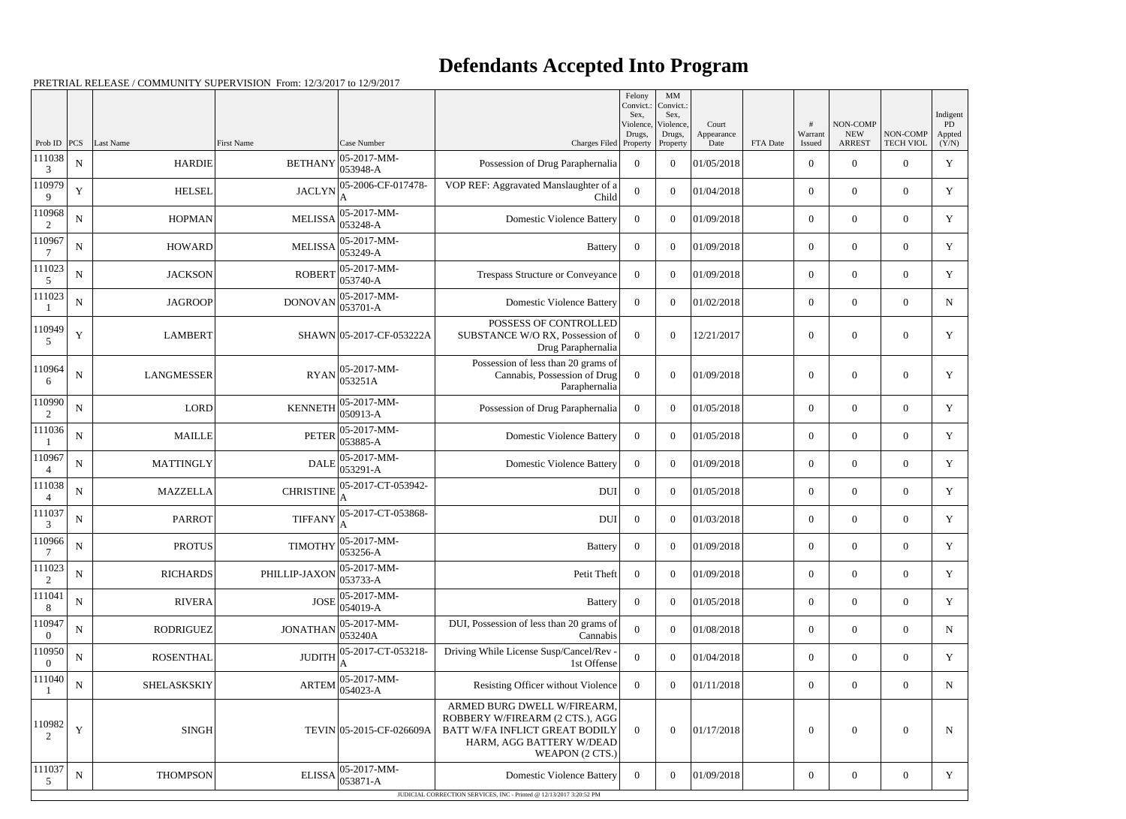## **Defendants Accepted Into Program**

PRETRIAL RELEASE / COMMUNITY SUPERVISION From: 12/3/2017 to 12/9/2017

|                          |             |                   |                   |                                                                           |                                                                                                                                                 | Felony<br>Convict.: | $\mathbf{M}\mathbf{M}$<br>Convict.: |                    |          |                   |                             |                              |                 |
|--------------------------|-------------|-------------------|-------------------|---------------------------------------------------------------------------|-------------------------------------------------------------------------------------------------------------------------------------------------|---------------------|-------------------------------------|--------------------|----------|-------------------|-----------------------------|------------------------------|-----------------|
|                          |             |                   |                   |                                                                           |                                                                                                                                                 | Sex,<br>Violence,   | Sex,<br>Violence,                   | Court              |          |                   | NON-COMP                    |                              | Indigent<br>PD  |
| Prob ID                  | PCS         | Last Name         | <b>First Name</b> | Case Number                                                               | Charges Filed                                                                                                                                   | Drugs,<br>Property  | Drugs,<br>Property                  | Appearance<br>Date | FTA Date | Warrant<br>Issued | <b>NEW</b><br><b>ARREST</b> | NON-COMP<br><b>TECH VIOL</b> | Appted<br>(Y/N) |
| 111038<br>3              | ${\bf N}$   | <b>HARDIE</b>     | <b>BETHANY</b>    | 05-2017-MM-<br>053948-A                                                   | Possession of Drug Paraphernalia                                                                                                                | $\overline{0}$      | $\theta$                            | 01/05/2018         |          | $\overline{0}$    | $\theta$                    | $\Omega$                     | $\mathbf Y$     |
| 110979<br>9              | $\mathbf Y$ | <b>HELSEL</b>     | <b>JACLYN</b>     | 05-2006-CF-017478-                                                        | VOP REF: Aggravated Manslaughter of a<br>Child                                                                                                  | $\overline{0}$      | $\theta$                            | 01/04/2018         |          | $\boldsymbol{0}$  | $\overline{0}$              | $\overline{0}$               | Y               |
| 110968<br>2              | ${\bf N}$   | <b>HOPMAN</b>     | <b>MELISSA</b>    | 05-2017-MM-<br>053248-A                                                   | <b>Domestic Violence Battery</b>                                                                                                                | $\overline{0}$      | $\theta$                            | 01/09/2018         |          | $\overline{0}$    | $\theta$                    | $\overline{0}$               | Y               |
| 110967                   | ${\bf N}$   | HOWARD            | <b>MELISSA</b>    | 05-2017-MM-<br>053249-A                                                   | <b>Battery</b>                                                                                                                                  | $\overline{0}$      | $\Omega$                            | 01/09/2018         |          | $\overline{0}$    | $\overline{0}$              | $\overline{0}$               | $\mathbf Y$     |
| 111023<br>5              | ${\bf N}$   | <b>JACKSON</b>    | <b>ROBERT</b>     | 05-2017-MM-<br>053740-A                                                   | Trespass Structure or Conveyance                                                                                                                | $\overline{0}$      | $\theta$                            | 01/09/2018         |          | $\overline{0}$    | $\theta$                    | $\overline{0}$               | Y               |
| 111023                   | ${\bf N}$   | <b>JAGROOP</b>    | <b>DONOVAN</b>    | 05-2017-MM-<br>053701-A                                                   | <b>Domestic Violence Battery</b>                                                                                                                | $\overline{0}$      | $\theta$                            | 01/02/2018         |          | $\overline{0}$    | $\overline{0}$              | $\overline{0}$               | $\mathbf N$     |
| 110949<br>5              | $\mathbf Y$ | <b>LAMBERT</b>    |                   | SHAWN 05-2017-CF-053222A                                                  | POSSESS OF CONTROLLED<br>SUBSTANCE W/O RX, Possession of<br>Drug Paraphernalia                                                                  | $\theta$            | $\Omega$                            | 12/21/2017         |          | $\overline{0}$    | $\theta$                    | $\overline{0}$               | Y               |
| 110964<br>6              | ${\bf N}$   | <b>LANGMESSER</b> | <b>RYAN</b>       | 05-2017-MM-<br>053251A                                                    | Possession of less than 20 grams of<br>Cannabis, Possession of Drug<br>Paraphernalia                                                            | $\overline{0}$      | $\theta$                            | 01/09/2018         |          | $\theta$          | $\overline{0}$              | $\overline{0}$               | Y               |
| 110990<br>2              | $\mathbf N$ | LORD              | <b>KENNETH</b>    | 05-2017-MM-<br>050913-A                                                   | Possession of Drug Paraphernalia                                                                                                                | $\Omega$            | $\theta$                            | 01/05/2018         |          | $\theta$          | $\theta$                    | $\overline{0}$               | Y               |
| 111036                   | ${\bf N}$   | <b>MAILLE</b>     | <b>PETER</b>      | 05-2017-MM-<br>053885-A                                                   | <b>Domestic Violence Battery</b>                                                                                                                | $\Omega$            | $\theta$                            | 01/05/2018         |          | $\overline{0}$    | $\overline{0}$              | $\overline{0}$               | $\mathbf Y$     |
| 110967<br>$\overline{4}$ | ${\bf N}$   | <b>MATTINGLY</b>  | <b>DALE</b>       | 05-2017-MM-<br>053291-A                                                   | <b>Domestic Violence Battery</b>                                                                                                                | $\overline{0}$      | $\Omega$                            | 01/09/2018         |          | $\theta$          | $\theta$                    | $\overline{0}$               | Y               |
| 111038<br>$\overline{4}$ | ${\bf N}$   | <b>MAZZELLA</b>   | <b>CHRISTINE</b>  | 05-2017-CT-053942-                                                        | <b>DUI</b>                                                                                                                                      | $\overline{0}$      | $\theta$                            | 01/05/2018         |          | $\overline{0}$    | $\overline{0}$              | $\overline{0}$               | Y               |
| 111037<br>3              | ${\bf N}$   | <b>PARROT</b>     | <b>TIFFANY</b>    | 05-2017-CT-053868-                                                        | <b>DUI</b>                                                                                                                                      | $\overline{0}$      | $\Omega$                            | 01/03/2018         |          | $\theta$          | $\theta$                    | $\overline{0}$               | Y               |
| 110966<br>7              | ${\bf N}$   | <b>PROTUS</b>     |                   | $\text{TIMOTHY}\Big  \underset{0.500000}{\text{05-2017-MM}}}$<br>053256-A | <b>Battery</b>                                                                                                                                  | $\mathbf{0}$        | $\overline{0}$                      | 01/09/2018         |          | $\boldsymbol{0}$  | $\boldsymbol{0}$            | $\overline{0}$               | Y               |
| 111023<br>2              | ${\bf N}$   | <b>RICHARDS</b>   | PHILLIP-JAXON     | 05-2017-MM-<br>053733-A                                                   | Petit Theft                                                                                                                                     | $\overline{0}$      | $\overline{0}$                      | 01/09/2018         |          | $\overline{0}$    | $\overline{0}$              | $\overline{0}$               | Y               |
| 111041<br>8              | ${\bf N}$   | <b>RIVERA</b>     | <b>JOSE</b>       | 05-2017-MM-<br>054019-A                                                   | Battery                                                                                                                                         | $\overline{0}$      | $\overline{0}$                      | 01/05/2018         |          | $\overline{0}$    | $\overline{0}$              | $\overline{0}$               | Y               |
| 110947<br>$\overline{0}$ | ${\bf N}$   | <b>RODRIGUEZ</b>  | <b>JONATHAN</b>   | 05-2017-MM-<br>053240A                                                    | DUI, Possession of less than 20 grams of<br>Cannabis                                                                                            | $\boldsymbol{0}$    | $\theta$                            | 01/08/2018         |          | $\overline{0}$    | $\overline{0}$              | $\overline{0}$               | $\mathbf N$     |
| 110950<br>$\left($       | ${\bf N}$   | <b>ROSENTHAL</b>  | <b>JUDITH</b>     | 05-2017-CT-053218-                                                        | Driving While License Susp/Cancel/Rev -<br>1st Offense                                                                                          | $\overline{0}$      | $\overline{0}$                      | 01/04/2018         |          | $\overline{0}$    | $\overline{0}$              | $\overline{0}$               | Y               |
| 111040                   | ${\bf N}$   | SHELASKSKIY       | <b>ARTEM</b>      | 05-2017-MM-<br>054023-A                                                   | Resisting Officer without Violence                                                                                                              | $\overline{0}$      | $\overline{0}$                      | 01/11/2018         |          | $\overline{0}$    | $\overline{0}$              | $\overline{0}$               | $\mathbf N$     |
| 110982<br>$\mathfrak{D}$ | $\mathbf Y$ | <b>SINGH</b>      |                   | TEVIN 05-2015-CF-026609A                                                  | ARMED BURG DWELL W/FIREARM,<br>ROBBERY W/FIREARM (2 CTS.), AGG<br>BATT W/FA INFLICT GREAT BODILY<br>HARM, AGG BATTERY W/DEAD<br>WEAPON (2 CTS.) | $\overline{0}$      | $\boldsymbol{0}$                    | 01/17/2018         |          | $\overline{0}$    | $\boldsymbol{0}$            | $\overline{0}$               | $\mathbf N$     |
| 111037<br>5              | ${\bf N}$   | <b>THOMPSON</b>   | <b>ELISSA</b>     | 05-2017-MM-<br>053871-A                                                   | <b>Domestic Violence Battery</b>                                                                                                                | $\overline{0}$      | $\boldsymbol{0}$                    | 01/09/2018         |          | $\boldsymbol{0}$  | $\overline{0}$              | $\overline{0}$               | Y               |
|                          |             |                   |                   |                                                                           | JUDICIAL CORRECTION SERVICES, INC - Printed @ 12/13/2017 3:20:52 PM                                                                             |                     |                                     |                    |          |                   |                             |                              |                 |